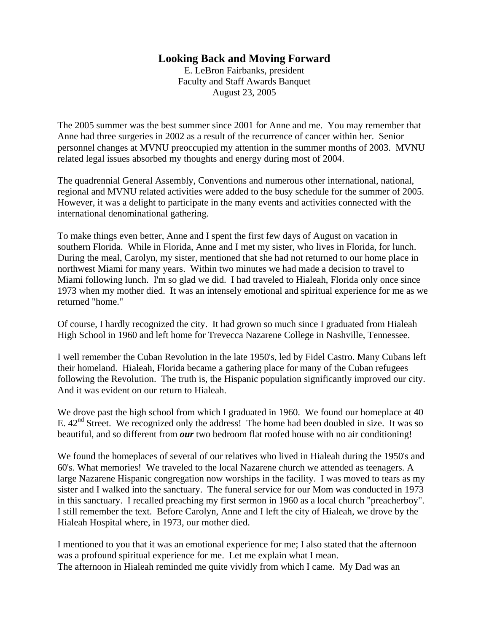## **Looking Back and Moving Forward**

E. LeBron Fairbanks, president Faculty and Staff Awards Banquet August 23, 2005

The 2005 summer was the best summer since 2001 for Anne and me. You may remember that Anne had three surgeries in 2002 as a result of the recurrence of cancer within her. Senior personnel changes at MVNU preoccupied my attention in the summer months of 2003. MVNU related legal issues absorbed my thoughts and energy during most of 2004.

The quadrennial General Assembly, Conventions and numerous other international, national, regional and MVNU related activities were added to the busy schedule for the summer of 2005. However, it was a delight to participate in the many events and activities connected with the international denominational gathering.

To make things even better, Anne and I spent the first few days of August on vacation in southern Florida. While in Florida, Anne and I met my sister, who lives in Florida, for lunch. During the meal, Carolyn, my sister, mentioned that she had not returned to our home place in northwest Miami for many years. Within two minutes we had made a decision to travel to Miami following lunch. I'm so glad we did. I had traveled to Hialeah, Florida only once since 1973 when my mother died. It was an intensely emotional and spiritual experience for me as we returned "home."

Of course, I hardly recognized the city. It had grown so much since I graduated from Hialeah High School in 1960 and left home for Trevecca Nazarene College in Nashville, Tennessee.

I well remember the Cuban Revolution in the late 1950's, led by Fidel Castro. Many Cubans left their homeland. Hialeah, Florida became a gathering place for many of the Cuban refugees following the Revolution. The truth is, the Hispanic population significantly improved our city. And it was evident on our return to Hialeah.

We drove past the high school from which I graduated in 1960. We found our homeplace at 40 E.  $42<sup>nd</sup>$  Street. We recognized only the address! The home had been doubled in size. It was so beautiful, and so different from *our* two bedroom flat roofed house with no air conditioning!

We found the homeplaces of several of our relatives who lived in Hialeah during the 1950's and 60's. What memories! We traveled to the local Nazarene church we attended as teenagers. A large Nazarene Hispanic congregation now worships in the facility. I was moved to tears as my sister and I walked into the sanctuary. The funeral service for our Mom was conducted in 1973 in this sanctuary. I recalled preaching my first sermon in 1960 as a local church "preacherboy". I still remember the text. Before Carolyn, Anne and I left the city of Hialeah, we drove by the Hialeah Hospital where, in 1973, our mother died.

I mentioned to you that it was an emotional experience for me; I also stated that the afternoon was a profound spiritual experience for me. Let me explain what I mean. The afternoon in Hialeah reminded me quite vividly from which I came. My Dad was an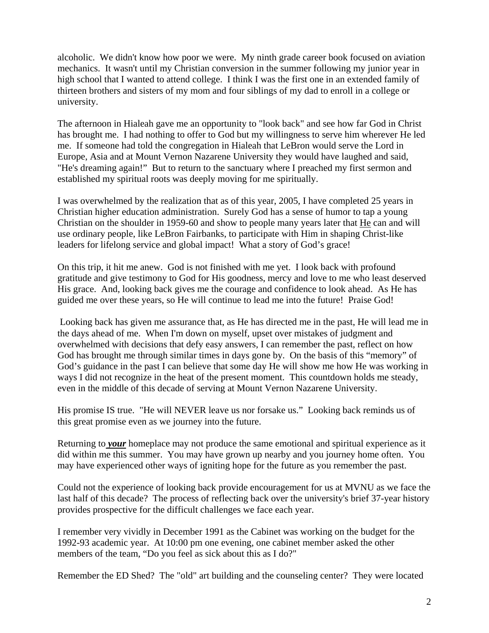alcoholic. We didn't know how poor we were. My ninth grade career book focused on aviation mechanics. It wasn't until my Christian conversion in the summer following my junior year in high school that I wanted to attend college. I think I was the first one in an extended family of thirteen brothers and sisters of my mom and four siblings of my dad to enroll in a college or university.

The afternoon in Hialeah gave me an opportunity to "look back" and see how far God in Christ has brought me. I had nothing to offer to God but my willingness to serve him wherever He led me. If someone had told the congregation in Hialeah that LeBron would serve the Lord in Europe, Asia and at Mount Vernon Nazarene University they would have laughed and said, "He's dreaming again!" But to return to the sanctuary where I preached my first sermon and established my spiritual roots was deeply moving for me spiritually.

I was overwhelmed by the realization that as of this year, 2005, I have completed 25 years in Christian higher education administration. Surely God has a sense of humor to tap a young Christian on the shoulder in 1959-60 and show to people many years later that He can and will use ordinary people, like LeBron Fairbanks, to participate with Him in shaping Christ-like leaders for lifelong service and global impact! What a story of God's grace!

On this trip, it hit me anew. God is not finished with me yet. I look back with profound gratitude and give testimony to God for His goodness, mercy and love to me who least deserved His grace. And, looking back gives me the courage and confidence to look ahead. As He has guided me over these years, so He will continue to lead me into the future! Praise God!

 Looking back has given me assurance that, as He has directed me in the past, He will lead me in the days ahead of me. When I'm down on myself, upset over mistakes of judgment and overwhelmed with decisions that defy easy answers, I can remember the past, reflect on how God has brought me through similar times in days gone by. On the basis of this "memory" of God's guidance in the past I can believe that some day He will show me how He was working in ways I did not recognize in the heat of the present moment. This countdown holds me steady, even in the middle of this decade of serving at Mount Vernon Nazarene University.

His promise IS true. "He will NEVER leave us nor forsake us." Looking back reminds us of this great promise even as we journey into the future.

Returning to *your* homeplace may not produce the same emotional and spiritual experience as it did within me this summer. You may have grown up nearby and you journey home often. You may have experienced other ways of igniting hope for the future as you remember the past.

Could not the experience of looking back provide encouragement for us at MVNU as we face the last half of this decade? The process of reflecting back over the university's brief 37-year history provides prospective for the difficult challenges we face each year.

I remember very vividly in December 1991 as the Cabinet was working on the budget for the 1992-93 academic year. At 10:00 pm one evening, one cabinet member asked the other members of the team, "Do you feel as sick about this as I do?"

Remember the ED Shed? The "old" art building and the counseling center? They were located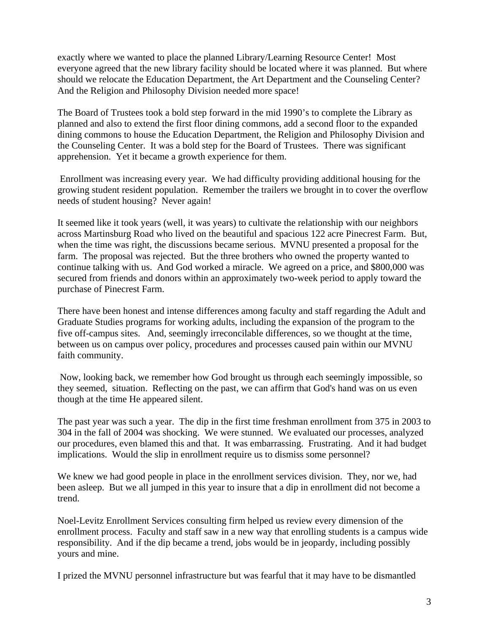exactly where we wanted to place the planned Library/Learning Resource Center! Most everyone agreed that the new library facility should be located where it was planned. But where should we relocate the Education Department, the Art Department and the Counseling Center? And the Religion and Philosophy Division needed more space!

The Board of Trustees took a bold step forward in the mid 1990's to complete the Library as planned and also to extend the first floor dining commons, add a second floor to the expanded dining commons to house the Education Department, the Religion and Philosophy Division and the Counseling Center. It was a bold step for the Board of Trustees. There was significant apprehension. Yet it became a growth experience for them.

 Enrollment was increasing every year. We had difficulty providing additional housing for the growing student resident population. Remember the trailers we brought in to cover the overflow needs of student housing? Never again!

It seemed like it took years (well, it was years) to cultivate the relationship with our neighbors across Martinsburg Road who lived on the beautiful and spacious 122 acre Pinecrest Farm. But, when the time was right, the discussions became serious. MVNU presented a proposal for the farm. The proposal was rejected. But the three brothers who owned the property wanted to continue talking with us. And God worked a miracle. We agreed on a price, and \$800,000 was secured from friends and donors within an approximately two-week period to apply toward the purchase of Pinecrest Farm.

There have been honest and intense differences among faculty and staff regarding the Adult and Graduate Studies programs for working adults, including the expansion of the program to the five off-campus sites. And, seemingly irreconcilable differences, so we thought at the time, between us on campus over policy, procedures and processes caused pain within our MVNU faith community.

 Now, looking back, we remember how God brought us through each seemingly impossible, so they seemed, situation. Reflecting on the past, we can affirm that God's hand was on us even though at the time He appeared silent.

The past year was such a year. The dip in the first time freshman enrollment from 375 in 2003 to 304 in the fall of 2004 was shocking. We were stunned. We evaluated our processes, analyzed our procedures, even blamed this and that. It was embarrassing. Frustrating. And it had budget implications. Would the slip in enrollment require us to dismiss some personnel?

We knew we had good people in place in the enrollment services division. They, nor we, had been asleep. But we all jumped in this year to insure that a dip in enrollment did not become a trend.

Noel-Levitz Enrollment Services consulting firm helped us review every dimension of the enrollment process. Faculty and staff saw in a new way that enrolling students is a campus wide responsibility. And if the dip became a trend, jobs would be in jeopardy, including possibly yours and mine.

I prized the MVNU personnel infrastructure but was fearful that it may have to be dismantled